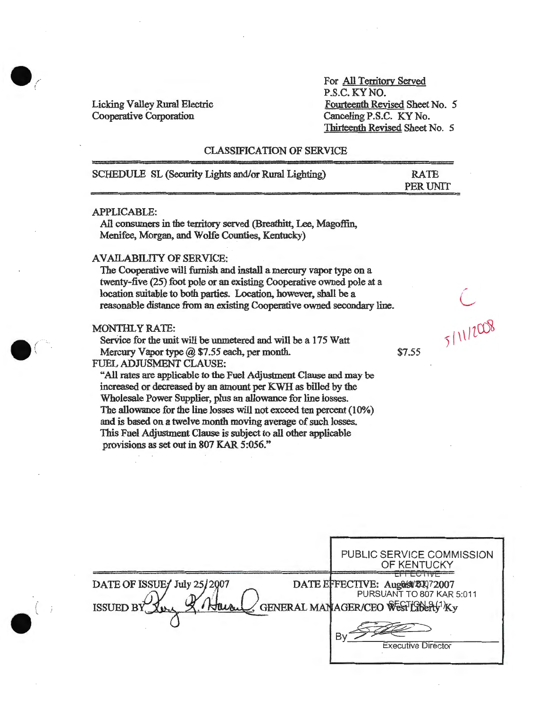Licking Valley Rural Electric Cooperative Corporation

*.(* 

*.(* 

For All Territory Served P.S.C. KYNO. Fourteenth Revised Sheet No. *5*  Canceling P.S.C. KY No. Thirteenth Revised Sheet No. 5

## CLASSIFICATION OF SERVICE

| SCHEDULE SL (Security Lights and/or Rural Lighting) | <b>RATE</b><br>PER UNIT |
|-----------------------------------------------------|-------------------------|
| <b>APPLICABLE:</b>                                  |                         |

All consumers in the territory served (Breathitt, Lee, Magoffin, Menifee, Morgan, and Wolfe Counties, Kentucky)

#### AVAILABILITY OF SERVICE:

The Cooperative will furnish and install a mercury vapor type on a twenty-five (25) foot pole or an existing Cooperative owned pole at a location suitable to both parties. Location, however, shall be a reasonable distance from an existing Cooperative owned secondary line.

### MONTHLY RATE:

Service for the unit will be unmetered and will be a 175 Watt Mercury Vapor type  $(a)$  \$7.55 each, per month. FUEL ADJUSMENT CLAUSE:

"'All rates are applicable to the Fuel Adjustment Clause and may be increased or decreased by an amount per KWH as billed by the Wholesale Power Supplier, plus an allowance for line losses. The allowance for the line losses will not exceed ten percent (10%) and is based on a twelve month moving average of such losses. This Fuel Adjustment Clause is subject to all other applicable provisions as set out in 807 KAR 5:056."

\$7.55

5/11/2008

|                                                 | PUBLIC SERVICE COMMISSION<br>OF KENTUCKY                                                                                                    |
|-------------------------------------------------|---------------------------------------------------------------------------------------------------------------------------------------------|
| DATE OF ISSUE July 25/2007<br>ISSUED BY<br>Turn | DATE EFFECTIVE: August 20072007<br>PURSUANT TO 807 KAR 5:011<br>GENERAL MANAGER/CEO WESTLIBERY <sup>1</sup> Ky<br><b>Executive Director</b> |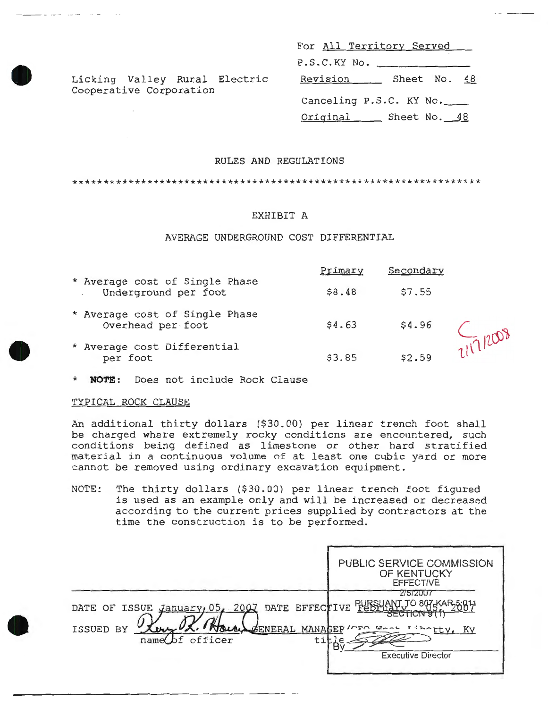For All Territory Served  $P.S.C.KY No.$ Revision \_\_\_ Sheet No. 48 Canceling P.S.C. KY No. Original Sheet No. 48

## RULES AND REGULATIONS

\*\*\*\*\*\*\*\*\*\*\*\*\*\*\*\*\*\*\*\*\*\*\*\*\*\*\*\*\*\*\*\*\*\*\*\*\*\*\*\*\*\*\*\*\*\*\*\*\*\*\*\*\*\*\*\*\*\*\*\*\*\*\*\*\*\*

### EXHIBIT A

#### AVERAGE UNDERGROUND COST DIFFERENTIAL

|                                                        | Primary | Secondary |          |
|--------------------------------------------------------|---------|-----------|----------|
| * Average cost of Single Phase<br>Underground per foot | \$8.48  | \$7.55    |          |
| * Average cost of Single Phase<br>Overhead per foot    | \$4.63  | \$4.96    |          |
| * Average cost Differential<br>per foot                | \$3.85  | \$2.59    | 717/2009 |

**NOTE:** Does not include Rock Clause

Licking Valley Rural Electric

Cooperative Corporation

#### TYPICAL ROCK CLAUSE

An additional thirty dollars (\$30.00) per linear trench foot shall be charged where extremely rocky conditions are encountered, such conditions being defined as limestone or other hard stratified material in a continuous volume of at least one cubic yard or more cannot be removed using ordinary excavation equipment.

NOTE: The thirty dollars (\$30.00) per linear trench foot figured is used as an example only and will be increased or decreased according to the current prices supplied by contractors at the time the construction is to be performed.

|                                                                                       | PUBLIC SERVICE COMMISSION<br>OF KENTUCKY<br><b>EFFECTIVE</b>                                                        |
|---------------------------------------------------------------------------------------|---------------------------------------------------------------------------------------------------------------------|
| DATE OF ISSUE January 05, 2007 DATE EFFECTIVE FURSUAL<br>ISSUED BY<br>name of officer | 215/2007<br>O 807-KAR 5:01.1<br><b>SECTION</b><br>ENERAL MANAGER (CEO Most Iiborty, Ky<br><b>Executive Director</b> |



•

•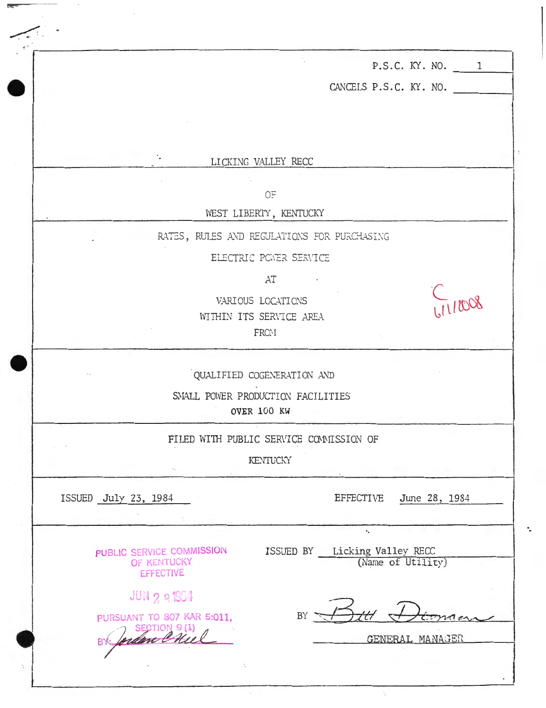| P.S.C. KY. NO. 1                                           |
|------------------------------------------------------------|
| CANCELS P.S.C. KY. NO.                                     |
|                                                            |
|                                                            |
| LICKING VALLEY RECC                                        |
|                                                            |
| 0F<br>WEST LIBERTY, KENTUCKY                               |
|                                                            |
| RATES, RULES AND REGULATIONS FOR PURCHASING                |
| ELECTRIC POWER SERVICE                                     |
| AT                                                         |
| VARIOUS LOCATIONS<br>WITHIN ITS SERVICE AREA               |
| FRC: I                                                     |
|                                                            |
| QUALIFIED COGENERATION AND                                 |
| SMALL POWER PRODUCTION FACILITIES                          |
| OVER 100 KW                                                |
| FILED WITH PUBLIC SERVICE COMMISSION OF                    |
| KENTUCKY                                                   |
|                                                            |
| <b>EFFECTIVE</b><br>June 28, 1984<br>ISSUED July 23, 1984  |
| $\bullet_\bullet$                                          |
| ISSUED BY Licking Valley RECC<br>PUBLIC SERVICE COMMISSION |
| (Name of Utility)<br>OF KENTUCKY<br><b>EFFECTIVE</b>       |
| JUN 2 8 1964                                               |
| BY<br>PURSUANT TO 807 KAR 5:011,                           |
| SECTION 9(1)<br>m C<br>GENERAL MANAGER                     |
| ٠.                                                         |
|                                                            |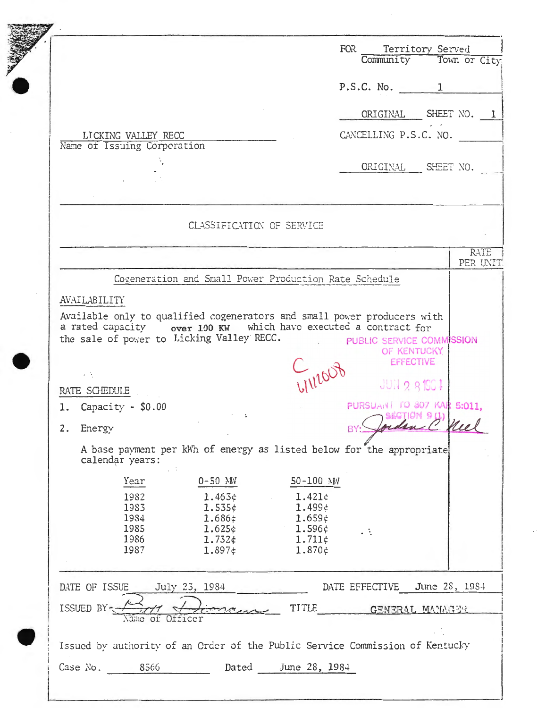|                     |                             |                                                                              |                                     |           |                    | FOR Territory Served       |
|---------------------|-----------------------------|------------------------------------------------------------------------------|-------------------------------------|-----------|--------------------|----------------------------|
|                     |                             |                                                                              |                                     |           |                    | Community Town or City     |
|                     |                             |                                                                              |                                     |           | P.S.C. No. 1       |                            |
|                     |                             |                                                                              |                                     |           |                    | ORIGINAL SHEET NO. 1       |
|                     | LICKING VALLEY RECC         |                                                                              |                                     |           |                    | CANCELLING P.S.C. NO.      |
|                     | Name of Issuing Corporation |                                                                              |                                     |           |                    |                            |
|                     |                             |                                                                              |                                     |           |                    | ORIGINAL SHEET NO.         |
|                     |                             |                                                                              |                                     |           |                    |                            |
|                     |                             | CLASSIFICATION OF SERVICE                                                    |                                     |           |                    |                            |
|                     |                             |                                                                              |                                     |           |                    |                            |
|                     |                             |                                                                              |                                     |           |                    | PER UNIT                   |
|                     |                             | Cogeneration and Small Power Production Rate Schedule                        |                                     |           |                    |                            |
| <b>AVAILABILITY</b> |                             |                                                                              |                                     |           |                    |                            |
|                     |                             |                                                                              |                                     |           |                    |                            |
| よんじょう こうしょう         |                             |                                                                              |                                     |           |                    | <b>EFFECTIVE</b>           |
| RATE SCHEDULE       |                             |                                                                              | LIVIDOF                             |           | <b>JUN 2 81901</b> | PURSUANT TO 807 KAR 5:011. |
| 2. Energy           | 1. Capacity - \$0.00        |                                                                              |                                     | BY:       |                    | Jordan E Mel               |
|                     | calendar years:             | A base payment per kWh of energy as listed below for the appropriate         |                                     |           |                    |                            |
|                     | $\sim$ $\sim$<br>Year       | 0-50 MV                                                                      | 50-100 NW                           |           |                    |                            |
|                     | 1982                        | $1.463 \div$                                                                 | $1.421\dot{\epsilon}$               |           |                    |                            |
|                     | 1983<br>1984                | $1.535 \notin$<br>$1.686 \notin$                                             | 1.499 $\star$<br>1.659 $\diamond$   |           |                    |                            |
|                     | 1985<br>1986                | 1.625c<br>$1.732 \notin$                                                     | $1.596 \div$<br>$1.711 \; \epsilon$ | $\cdot$ : |                    |                            |
|                     | 1987                        | 1.897c                                                                       | $1.870 \xi$                         |           |                    |                            |
| DATE OF ISSUE       |                             | July 23, 1984                                                                |                                     |           | DATE EFFECTIVE     | June 28, 1984              |
| ISSUED BY-          |                             |                                                                              | TITLE                               |           |                    | GENERAL MANAGER            |
|                     | Name of Officer             |                                                                              |                                     |           |                    |                            |
|                     |                             | Issued by authority of an Order of the Public Service Commission of Kentucky |                                     |           |                    |                            |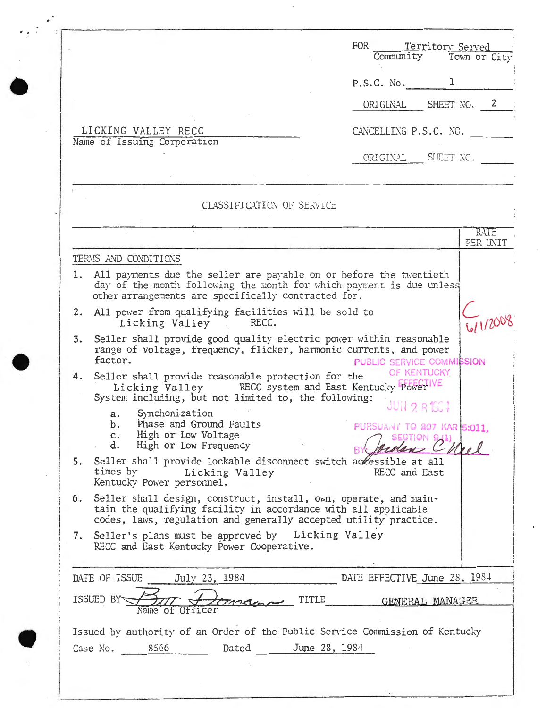|    |                                                                                                                                                                                                        | FOR<br>Territory Served<br>Community Town or City                |
|----|--------------------------------------------------------------------------------------------------------------------------------------------------------------------------------------------------------|------------------------------------------------------------------|
|    |                                                                                                                                                                                                        | P.S.C. No. $1$                                                   |
|    |                                                                                                                                                                                                        | ORIGINAL SHEET NO. 2                                             |
|    | LICKING VALLEY RECC                                                                                                                                                                                    | CANCELLING P.S.C. NO.                                            |
|    | Name of Issuing Corporation                                                                                                                                                                            | ORIGINAL SHEET NO.                                               |
|    | CLASSIFICATION OF SERVICE                                                                                                                                                                              |                                                                  |
|    |                                                                                                                                                                                                        | <b>RATE</b>                                                      |
|    | TERMS AND CONDITIONS                                                                                                                                                                                   | PER UNIT                                                         |
|    | 1. All payments due the seller are payable on or before the twentieth<br>day of the month following the month for which payment is due unless<br>other arrangements are specifically contracted for.   |                                                                  |
|    | 2. All power from qualifying facilities will be sold to<br>Licking Valley RECC.                                                                                                                        |                                                                  |
| 3. | Seller shall provide good quality electric power within reasonable<br>range of voltage, frequency, flicker, harmonic currents, and power<br>factor.                                                    | PUBLIC SERVICE COMMISSION                                        |
| 4. | Seller shall provide reasonable protection for the<br>Licking Valley RECC system and East Kentucky PowerVIVE<br>System including, but not limited to, the following:                                   | OF KENTUCKY                                                      |
|    | Synchonization<br>a.<br>b. Phase and Ground Faults<br>High or Low Voltage<br>c.<br>d. High or Low Frequency                                                                                            | <b>JUN 2 81561</b><br>PURSUANT TO 807 KAR 5:011,<br>SECTION 9(1) |
|    | 5. Seller shall provide lockable disconnect switch accessible at all<br>times by Licking Valley<br>Kentucky Power personnel.                                                                           | RECC and East                                                    |
| 6. | Seller shall design, construct, install, own, operate, and main-<br>tain the qualifying facility in accordance with all applicable<br>codes, laws, regulation and generally accepted utility practice. |                                                                  |
|    | 7. Seller's plans must be approved by Licking Valley<br>RECC and East Kentucky Power Cooperative.                                                                                                      |                                                                  |
|    | DATE OF ISSUE<br>July 23, 1984                                                                                                                                                                         | DATE EFFECTIVE June 28, 1984                                     |
|    | TITLE<br>ISSUED BY<br>TAMAN<br>Name of Officer                                                                                                                                                         | GENERAL MANAGER                                                  |
|    | Issued by authority of an Order of the Public Service Commission of Kentucky<br>Case No. 8566 Dated June 28, 1984                                                                                      |                                                                  |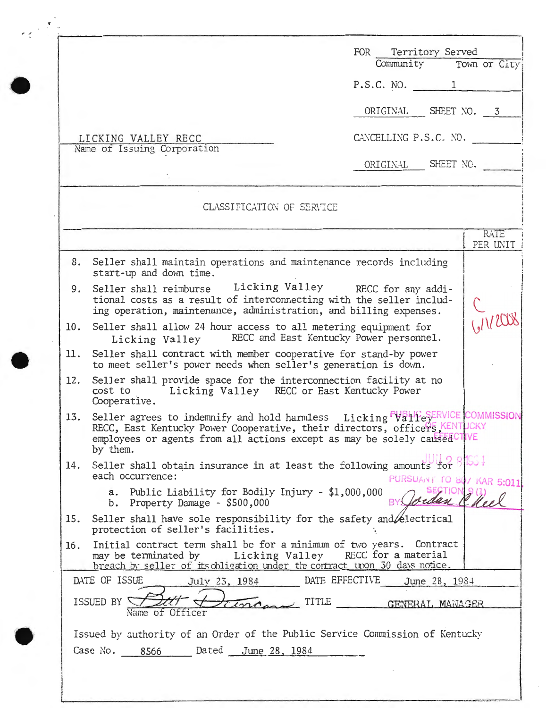|     |                                                                                                                                                                                                                                                     | FOR Territory Served<br>Community Town or City     |
|-----|-----------------------------------------------------------------------------------------------------------------------------------------------------------------------------------------------------------------------------------------------------|----------------------------------------------------|
|     |                                                                                                                                                                                                                                                     | P.S.C. NO. 1                                       |
|     |                                                                                                                                                                                                                                                     | ORIGINAL SHEET NO. 3                               |
|     | LICKING VALLEY RECC                                                                                                                                                                                                                                 | CANCELLING P.S.C. NO.                              |
|     | Name of Issuing Corporation                                                                                                                                                                                                                         | ORIGINAL SHEET NO.                                 |
|     | CLASSIFICATION OF SERVICE                                                                                                                                                                                                                           |                                                    |
|     |                                                                                                                                                                                                                                                     | RATE<br>PER UNIT                                   |
|     | 8. Seller shall maintain operations and maintenance records including<br>start-up and down time.                                                                                                                                                    |                                                    |
| 9.  | Seller shall reimburse Licking Valley RECC for any addi-<br>tional costs as a result of interconnecting with the seller includ-<br>ing operation, maintenance, administration, and billing expenses.                                                |                                                    |
|     | 10. Seller shall allow 24 hour access to all metering equipment for<br>Licking Valley                                                                                                                                                               | RECC and East Kentucky Power personnel.            |
|     | 11. Seller shall contract with member cooperative for stand-by power<br>to meet seller's power needs when seller's generation is down.                                                                                                              |                                                    |
| 12. | Seller shall provide space for the interconnection facility at no<br>Licking Valley RECC or East Kentucky Power<br>cost to<br>Cooperative.                                                                                                          |                                                    |
| 13. | Seller agrees to indemnify and hold harmless Licking PVR11FeSERVICE COMMISSION<br>RECC, East Kentucky Power Cooperative, their directors, officeP5 KENTUCKY<br>employees or agents from all actions except as may be solely caused TIVE<br>by them. |                                                    |
| 14. | Seller shall obtain insurance in at least the following amounts for $\beta$ $\beta$<br>each occurrence:                                                                                                                                             | PURSUANT TO 80/ KAR 5:011                          |
|     | a. Public Liability for Bodily Injury - \$1,000,000<br>b. Property Damage - $$500,000$                                                                                                                                                              | orden Cheel                                        |
| 15. | Seller shall have sole responsibility for the safety and <i>A</i> electrical<br>protection of seller's facilities.                                                                                                                                  |                                                    |
| 16. | Initial contract term shall be for a minimum of two years. Contract<br>may be terminated by Licking Valley RECC for a material<br>breach by seller of its obligation under the contract upon 30 days notice.                                        |                                                    |
|     | DATE OF ISSUE<br>July 23, 1984<br>Tingna TITLE<br>ISSUED BY<br>Name of Officer                                                                                                                                                                      | DATE EFFECTIVE<br>June 28, 1984<br>GENERAL MANAGER |
|     | Issued by authority of an Order of the Public Service Commission of Kentucky                                                                                                                                                                        |                                                    |
|     | Dated June 28, 1984<br>Case No. 8566                                                                                                                                                                                                                |                                                    |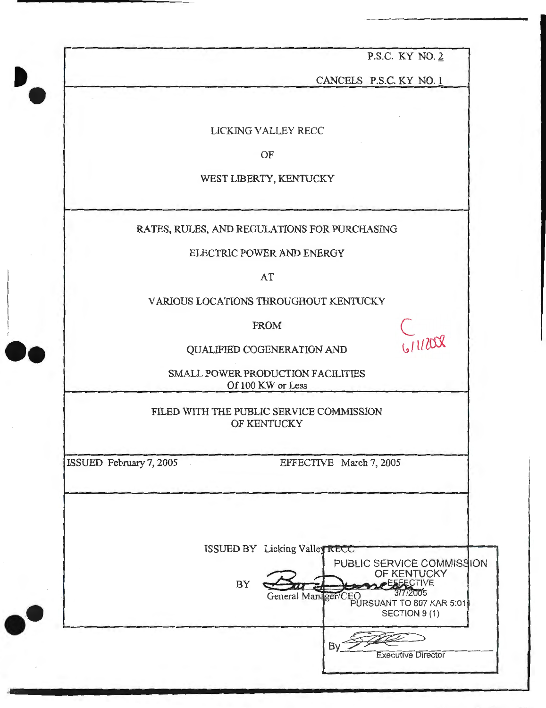P.S.C. KY NO. 2

CANCELS P.S.C. KY NO. 1

LlCKlNG VALLEY RECC

OF

WEST LIBERTY, KENTUCKY

RATES, RULES, AND REGULATIONS FOR PURCHASING

ELECTRIC POWER AND ENERGY

AT

VARIOUS LOCATIONS THROUGHOUT KENTUCKY

FROM  $\bigcup$ 

PROM PROMENTION AND

SMALL POWER PRODUCTION FACILITIES Of 100 KW or Less

FILED WITH THE PUBLIC SERVICE COMMISSION OF KENTUCKY

ISSUED February 7, 2005

••

·-

••

EFFECTIVE March 7, 2005

ISSUED BY Licking Valley RECC BY PUBLIC SERVICE COMMISSION OF KENTUCKY General Manager/CEO 3/7/2005 PURSUANT TO 807 KAR 5:01 SECTION 9 (1) ET/CEO<br>
PURSUANT TO 807 KAR 5:01<br>
SECTION 9 (1)<br>
By Executive Director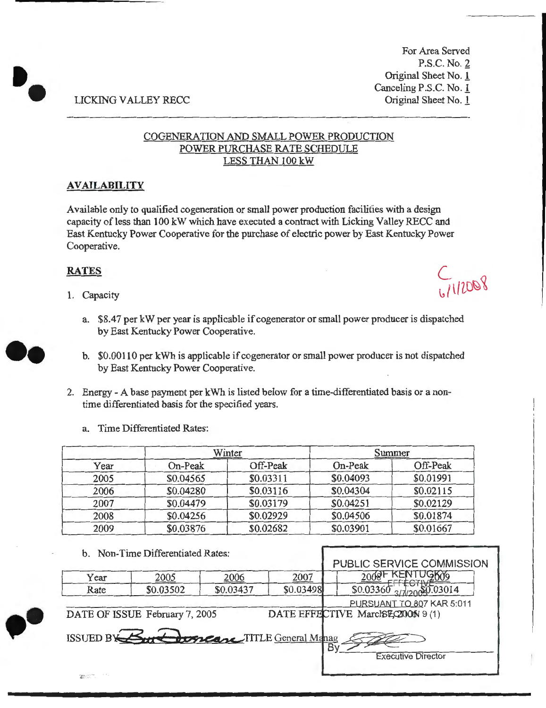For Area Served P.S.C. No. 2 Original Sheet No. 1 Canceling P.S.C. No. 1 Original Sheet No. 1

# LICKING VALLEY RECC

# COGENERATION AND SMALL POWER PRODUCTION POWER PURCHASE RATE SCHEDULE LESS THAN 100 kW

# **AVAILABILITY**

Available only to qualified cogeneration or small power production facilities with a design capacity of less than 100 kW which have executed a contract with Licking Valley RECC and East Kentucky Power Cooperative for the purchase of electric power by East Kentucky Power Cooperative.

# **RATES**

••

1. Capacity

 $7112008$ 

- a. \$8.47 per kW per year is applicable if cogenerator or small power producer is dispatched by East Kentucky Power Cooperative.
- b. \$0.00110 per kWh is applicable if cogenerator or small power producer is not dispatched by East Kentucky Power Cooperative.
- 2. Energy- A base payment per kWh is listed below for a time-differentiated basis or a nontime differentiated basis for the specified years.
	- a. Time Differentiated Rates:

|      |           | Winter    |           | Summer    |
|------|-----------|-----------|-----------|-----------|
| Year | On-Peak   | Off-Peak  | On-Peak   | Off-Peak  |
| 2005 | \$0.04565 | \$0.03311 | \$0.04093 | \$0.01991 |
| 2006 | \$0.04280 | \$0.03116 | \$0.04304 | \$0.02115 |
| 2007 | \$0.04479 | \$0.03179 | \$0.04251 | \$0.02129 |
| 2008 | \$0.04256 | \$0.02929 | \$0.04506 | \$0.01874 |
| 2009 | \$0.03876 | \$0.02682 | \$0.03901 | \$0.01667 |

## b. Non-Time Differentiated Rates:

 $\frac{1}{100}$  ISSUED BY  $\frac{1}{200}$  to  $\frac{1}{200}$  TITLE General Manag

DATE OF ISSUE February 7, 2005

|      |           |           |           | <b>PUBLIC SERVICE COMMISSION</b> |
|------|-----------|-----------|-----------|----------------------------------|
| Year | 2005      | 2006      | 2007      | 2009 F KENTUG609                 |
| Rate | \$0.03502 | \$0.03437 | \$0.03498 | 27/20000000014<br>\$0.03360      |
|      |           |           |           | PURSUANT TO 807 KAR 5:011        |



·-

Executive Director

DATE EFFECTIVE March \$2,200 N 9 (1)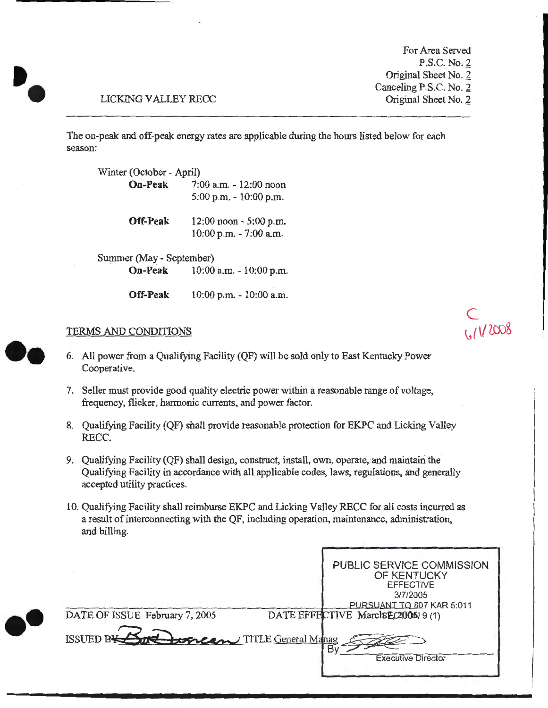For Area Served P.S.C. No. 2 Original Sheet No. 2 Canceling P.S.C. No. 2 Original Sheet No. 2

c

# LICKING VALLEY RECC

•.

·-

The on-peak and off-peak energy rates are applicable during the hours listed below for each season:

| Winter (October - April) |                            |  |  |  |  |
|--------------------------|----------------------------|--|--|--|--|
| <b>On-Peak</b>           | 7:00 a.m. - 12:00 noon     |  |  |  |  |
|                          | $5:00$ p.m. $-10:00$ p.m.  |  |  |  |  |
| <b>Off-Peak</b>          | $12:00$ noon $-5:00$ p.m.  |  |  |  |  |
|                          | $10:00$ p.m. $-7:00$ a.m.  |  |  |  |  |
| Summer (May - September) |                            |  |  |  |  |
| <b>On-Peak</b>           | $10:00$ a.m. $-10:00$ p.m. |  |  |  |  |

**Off-Peak** 10:00 p.m. - 10:00 a.m.

## TERMS AND CONDITIONS ~ *( \{* tro&

- 6. All power from a Qualifying Facility (QF) will be sold only to East Kentucky Power Cooperative.
- 7. Seller must provide good quality electric power within a reasonable range of voltage, frequency, flicker, harmonic currents, and power factor.
- 8. Qualifying Facility (QF) shall provide reasonable protection for EKPC and Licking Valley RECC.
- 9. Qualifying Facility (QF) shall design, construct, install, own, operate, and maintairi the Qualifying Facility in accordance with all applicable codes, laws, regulations, and generally accepted utility practices.
- 10. Qualifying Facility shall reimburse EKPC and Licking Valley RECC for all costs incurred as a result of interconnecting with the QF, including operation, maintenance, administration, and billing.

| DATE OF ISSUE February 7, 2005 |                             | PUBLIC SERVICE COMMISSION<br>OF KENTUCKY<br><b>EFFECTIVE</b><br>3/7/2005<br>PURSUANT TO 807 KAR 5:011<br>DATE EFFECTIVE MarcleEC2000519(1) |
|--------------------------------|-----------------------------|--------------------------------------------------------------------------------------------------------------------------------------------|
| <b>ISSUED BY</b>               | Correan TITLE General Manag | <b>Executive Director</b>                                                                                                                  |